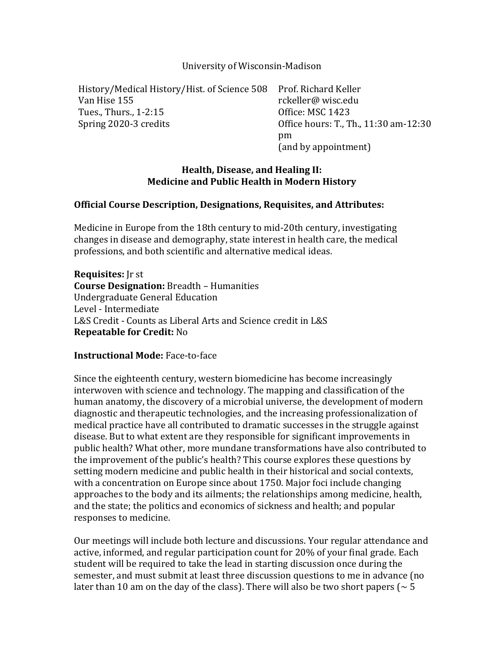University of Wisconsin-Madison

History/Medical History/Hist. of Science 508 Prof. Richard Keller Van Hise 155 rckeller@ wisc.edu Tues., Thurs., 1-2:15 0ffice: MSC 1423 Spring 2020-3 credits **Contact Contact Control** Office hours: T., Th., 11:30 am-12:30

pm (and by appointment)

# **Health, Disease, and Healing II: Medicine and Public Health in Modern History**

## **Official Course Description, Designations, Requisites, and Attributes:**

Medicine in Europe from the 18th century to mid-20th century, investigating changes in disease and demography, state interest in health care, the medical professions, and both scientific and alternative medical ideas.

**Requisites:** Ir st **Course Designation:** Breadth - Humanities Undergraduate General Education Level - Intermediate L&S Credit - Counts as Liberal Arts and Science credit in L&S **Repeatable for Credit: No** 

## **Instructional Mode:** Face-to-face

Since the eighteenth century, western biomedicine has become increasingly interwoven with science and technology. The mapping and classification of the human anatomy, the discovery of a microbial universe, the development of modern diagnostic and therapeutic technologies, and the increasing professionalization of medical practice have all contributed to dramatic successes in the struggle against disease. But to what extent are they responsible for significant improvements in public health? What other, more mundane transformations have also contributed to the improvement of the public's health? This course explores these questions by setting modern medicine and public health in their historical and social contexts, with a concentration on Europe since about 1750. Major foci include changing approaches to the body and its ailments; the relationships among medicine, health, and the state; the politics and economics of sickness and health; and popular responses to medicine.

Our meetings will include both lecture and discussions. Your regular attendance and active, informed, and regular participation count for 20% of your final grade. Each student will be required to take the lead in starting discussion once during the semester, and must submit at least three discussion questions to me in advance (no later than 10 am on the day of the class). There will also be two short papers ( $\sim$  5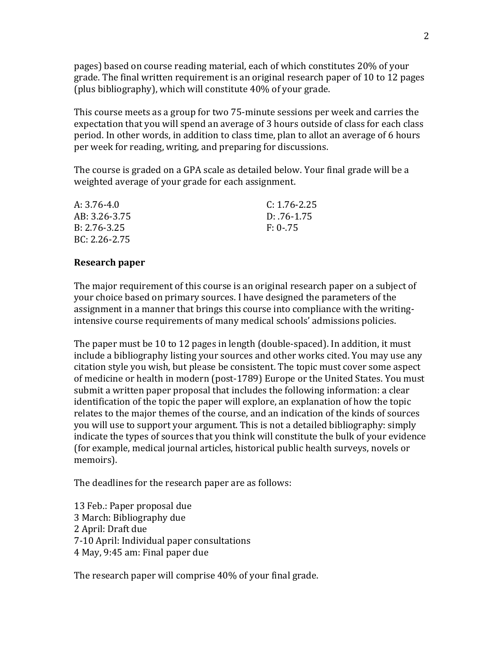pages) based on course reading material, each of which constitutes 20% of your grade. The final written requirement is an original research paper of 10 to 12 pages (plus bibliography), which will constitute  $40\%$  of your grade.

This course meets as a group for two 75-minute sessions per week and carries the expectation that you will spend an average of 3 hours outside of class for each class period. In other words, in addition to class time, plan to allot an average of 6 hours per week for reading, writing, and preparing for discussions.

The course is graded on a GPA scale as detailed below. Your final grade will be a weighted average of your grade for each assignment.

| A: 3.76-4.0      | $C: 1.76 - 2.25$ |
|------------------|------------------|
| AB: 3.26-3.75    | $D: .76-1.75$    |
| $B: 2.76 - 3.25$ | $F: 0-.75$       |
| BC: 2.26-2.75    |                  |

#### **Research paper**

The major requirement of this course is an original research paper on a subject of your choice based on primary sources. I have designed the parameters of the assignment in a manner that brings this course into compliance with the writingintensive course requirements of many medical schools' admissions policies.

The paper must be 10 to 12 pages in length (double-spaced). In addition, it must include a bibliography listing your sources and other works cited. You may use any citation style you wish, but please be consistent. The topic must cover some aspect of medicine or health in modern (post-1789) Europe or the United States. You must submit a written paper proposal that includes the following information: a clear identification of the topic the paper will explore, an explanation of how the topic relates to the major themes of the course, and an indication of the kinds of sources you will use to support your argument. This is not a detailed bibliography: simply indicate the types of sources that you think will constitute the bulk of your evidence (for example, medical journal articles, historical public health surveys, novels or memoirs).

The deadlines for the research paper are as follows:

13 Feb.: Paper proposal due 3 March: Bibliography due 2 April: Draft due 7-10 April: Individual paper consultations 4 May, 9:45 am: Final paper due

The research paper will comprise  $40\%$  of your final grade.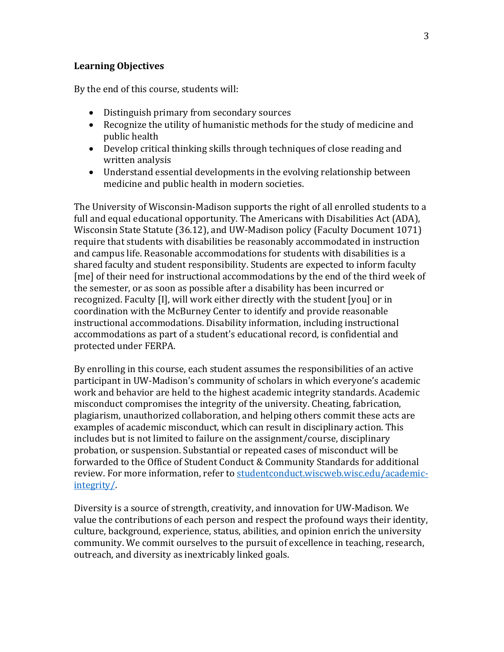## **Learning Objectives**

By the end of this course, students will:

- Distinguish primary from secondary sources
- Recognize the utility of humanistic methods for the study of medicine and public health
- Develop critical thinking skills through techniques of close reading and written analysis
- Understand essential developments in the evolving relationship between medicine and public health in modern societies.

The University of Wisconsin-Madison supports the right of all enrolled students to a full and equal educational opportunity. The Americans with Disabilities Act (ADA), Wisconsin State Statute (36.12), and UW-Madison policy (Faculty Document 1071) require that students with disabilities be reasonably accommodated in instruction and campus life. Reasonable accommodations for students with disabilities is a shared faculty and student responsibility. Students are expected to inform faculty [me] of their need for instructional accommodations by the end of the third week of the semester, or as soon as possible after a disability has been incurred or recognized. Faculty [I], will work either directly with the student [you] or in coordination with the McBurney Center to identify and provide reasonable instructional accommodations. Disability information, including instructional accommodations as part of a student's educational record, is confidential and protected under FERPA.

By enrolling in this course, each student assumes the responsibilities of an active participant in UW-Madison's community of scholars in which everyone's academic work and behavior are held to the highest academic integrity standards. Academic misconduct compromises the integrity of the university. Cheating, fabrication, plagiarism, unauthorized collaboration, and helping others commit these acts are examples of academic misconduct, which can result in disciplinary action. This includes but is not limited to failure on the assignment/course, disciplinary probation, or suspension. Substantial or repeated cases of misconduct will be forwarded to the Office of Student Conduct & Community Standards for additional review. For more information, refer to studentconduct.wiscweb.wisc.edu/academicintegrity/.

Diversity is a source of strength, creativity, and innovation for UW-Madison. We value the contributions of each person and respect the profound ways their identity, culture, background, experience, status, abilities, and opinion enrich the university community. We commit ourselves to the pursuit of excellence in teaching, research, outreach, and diversity as inextricably linked goals.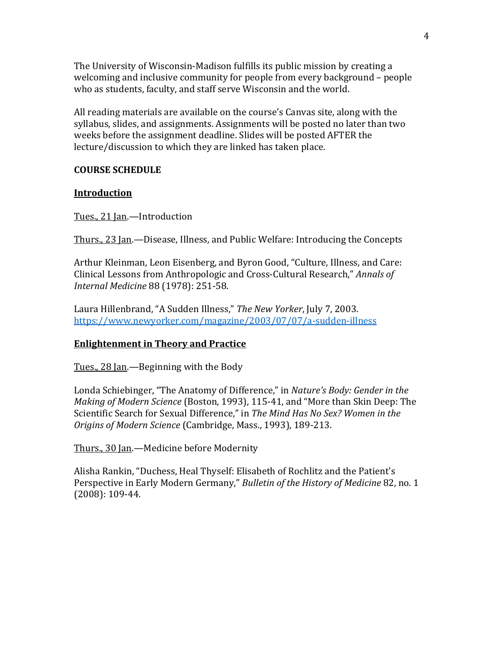The University of Wisconsin-Madison fulfills its public mission by creating a welcoming and inclusive community for people from every background - people who as students, faculty, and staff serve Wisconsin and the world.

All reading materials are available on the course's Canvas site, along with the syllabus, slides, and assignments. Assignments will be posted no later than two weeks before the assignment deadline. Slides will be posted AFTER the lecture/discussion to which they are linked has taken place.

#### **COURSE SCHEDULE**

#### **Introduction**

Tues., 21 Jan.-Introduction

Thurs., 23 Ian.—Disease, Illness, and Public Welfare: Introducing the Concepts

Arthur Kleinman, Leon Eisenberg, and Byron Good, "Culture, Illness, and Care: Clinical Lessons from Anthropologic and Cross-Cultural Research," Annals of *Internal Medicine* 88 (1978): 251-58.

Laura Hillenbrand, "A Sudden Illness," The New Yorker, July 7, 2003. https://www.newyorker.com/magazine/2003/07/07/a-sudden-illness

## **Enlightenment in Theory and Practice**

Tues.,  $28$  Jan.—Beginning with the Body

Londa Schiebinger, "The Anatomy of Difference," in *Nature's Body: Gender in the Making of Modern Science* (Boston, 1993), 115-41, and "More than Skin Deep: The Scientific Search for Sexual Difference," in The Mind Has No Sex? Women in the *Origins of Modern Science* (Cambridge, Mass., 1993), 189-213.

Thurs., 30 Jan.—Medicine before Modernity

Alisha Rankin, "Duchess, Heal Thyself: Elisabeth of Rochlitz and the Patient's Perspective in Early Modern Germany," Bulletin of the History of Medicine 82, no. 1  $(2008): 109-44.$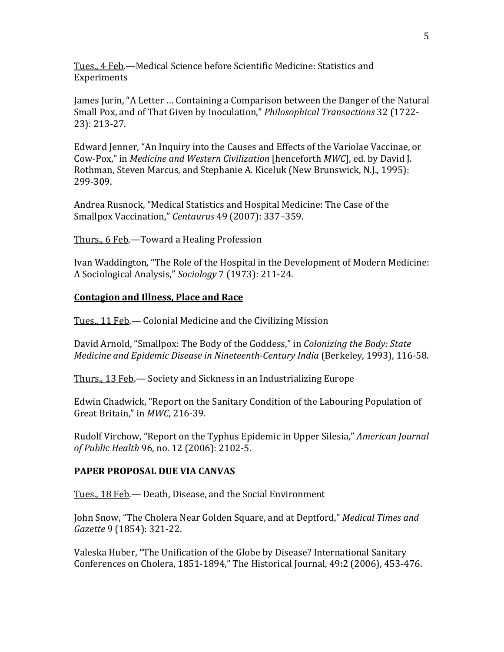Tues., 4 Feb.—Medical Science before Scientific Medicine: Statistics and Experiments

James Jurin, "A Letter ... Containing a Comparison between the Danger of the Natural Small Pox, and of That Given by Inoculation," *Philosophical Transactions* 32 (1722-23): 213-27.

Edward Jenner, "An Inquiry into the Causes and Effects of the Variolae Vaccinae, or Cow-Pox," in *Medicine and Western Civilization* [henceforth *MWC*], ed. by David J. Rothman, Steven Marcus, and Stephanie A. Kiceluk (New Brunswick, N.J., 1995): 299-309.

Andrea Rusnock, "Medical Statistics and Hospital Medicine: The Case of the Smallpox Vaccination," *Centaurus* 49 (2007): 337-359.

Thurs., 6 Feb.—Toward a Healing Profession

Ivan Waddington, "The Role of the Hospital in the Development of Modern Medicine: A Sociological Analysis," *Sociology* 7 (1973): 211-24.

#### **Contagion and Illness, Place and Race**

Tues., 11 Feb. - Colonial Medicine and the Civilizing Mission

David Arnold, "Smallpox: The Body of the Goddess," in *Colonizing the Body: State Medicine and Epidemic Disease in Nineteenth-Century India* (Berkeley, 1993), 116-58.

Thurs., 13 Feb.— Society and Sickness in an Industrializing Europe

Edwin Chadwick, "Report on the Sanitary Condition of the Labouring Population of Great Britain," in MWC, 216-39.

Rudolf Virchow, "Report on the Typhus Epidemic in Upper Silesia," *American Journal of Public Health* 96, no. 12 (2006): 2102-5.

## **PAPER PROPOSAL DUE VIA CANVAS**

Tues., 18 Feb.— Death, Disease, and the Social Environment

John Snow, "The Cholera Near Golden Square, and at Deptford," *Medical Times and Gazette* 9 (1854): 321-22.

Valeska Huber, "The Unification of the Globe by Disease? International Sanitary Conferences on Cholera, 1851-1894," The Historical Journal, 49:2 (2006), 453-476.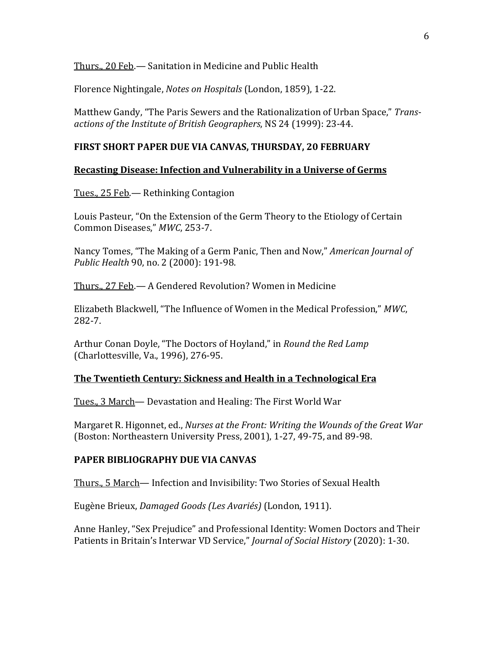Thurs., 20 Feb.— Sanitation in Medicine and Public Health

Florence Nightingale, *Notes on Hospitals* (London, 1859), 1-22.

Matthew Gandy, "The Paris Sewers and the Rationalization of Urban Space," Transactions of the Institute of British Geographers, NS 24 (1999): 23-44.

#### FIRST SHORT PAPER DUE VIA CANVAS, THURSDAY, 20 FEBRUARY

#### **Recasting Disease: Infection and Vulnerability in a Universe of Germs**

Tues., 25 Feb. - Rethinking Contagion

Louis Pasteur, "On the Extension of the Germ Theory to the Etiology of Certain Common Diseases," *MWC*, 253-7.

Nancy Tomes, "The Making of a Germ Panic, Then and Now," *American Journal of Public Health* 90, no. 2 (2000): 191-98.

Thurs., 27 Feb. - A Gendered Revolution? Women in Medicine

Elizabeth Blackwell, "The Influence of Women in the Medical Profession," MWC, 282-7.

Arthur Conan Doyle, "The Doctors of Hoyland," in *Round the Red Lamp* (Charlottesville, Va., 1996), 276-95.

## **The Twentieth Century: Sickness and Health in a Technological Era**

Tues., 3 March— Devastation and Healing: The First World War

Margaret R. Higonnet, ed., *Nurses at the Front: Writing the Wounds of the Great War* (Boston: Northeastern University Press, 2001), 1-27, 49-75, and 89-98.

#### **PAPER BIBLIOGRAPHY DUE VIA CANVAS**

Thurs., 5 March— Infection and Invisibility: Two Stories of Sexual Health

Eugène Brieux, *Damaged Goods (Les Avariés)* (London, 1911).

Anne Hanley, "Sex Prejudice" and Professional Identity: Women Doctors and Their Patients in Britain's Interwar VD Service," *Journal of Social History* (2020): 1-30.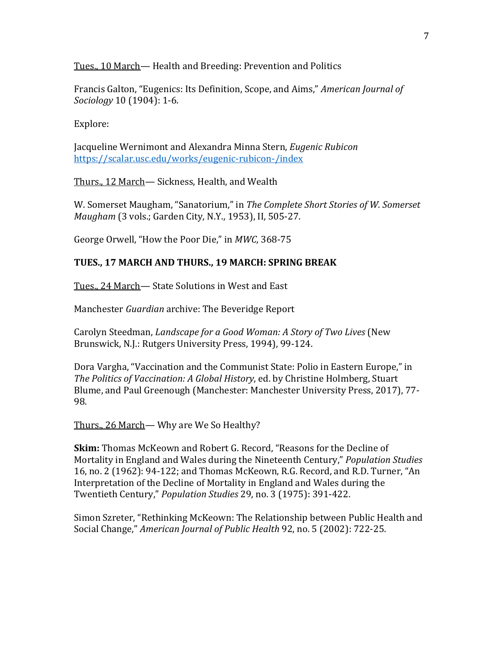Tues., 10 March— Health and Breeding: Prevention and Politics

Francis Galton, "Eugenics: Its Definition, Scope, and Aims," *American Journal of Sociology* 10 (1904): 1-6.

Explore:

Jacqueline Wernimont and Alexandra Minna Stern, *Eugenic Rubicon* https://scalar.usc.edu/works/eugenic-rubicon-/index

Thurs., 12 March— Sickness, Health, and Wealth

W. Somerset Maugham, "Sanatorium," in The Complete Short Stories of W. Somerset *Maugham* (3 vols.; Garden City, N.Y., 1953), II, 505-27.

George Orwell, "How the Poor Die," in MWC, 368-75

## **TUES., 17 MARCH AND THURS., 19 MARCH: SPRING BREAK**

Tues., 24 March-State Solutions in West and East

Manchester *Guardian* archive: The Beveridge Report

Carolyn Steedman, *Landscape for a Good Woman: A Story of Two Lives* (New Brunswick, N.J.: Rutgers University Press, 1994), 99-124.

Dora Vargha, "Vaccination and the Communist State: Polio in Eastern Europe," in *The Politics of Vaccination: A Global History*, ed. by Christine Holmberg, Stuart Blume, and Paul Greenough (Manchester: Manchester University Press, 2017), 77-98.

Thurs., 26 March— Why are We So Healthy?

**Skim:** Thomas McKeown and Robert G. Record, "Reasons for the Decline of Mortality in England and Wales during the Nineteenth Century," *Population Studies* 16, no. 2 (1962): 94-122; and Thomas McKeown, R.G. Record, and R.D. Turner, "An Interpretation of the Decline of Mortality in England and Wales during the Twentieth Century," *Population Studies* 29, no. 3 (1975): 391-422.

Simon Szreter, "Rethinking McKeown: The Relationship between Public Health and Social Change," American Journal of Public Health 92, no. 5 (2002): 722-25.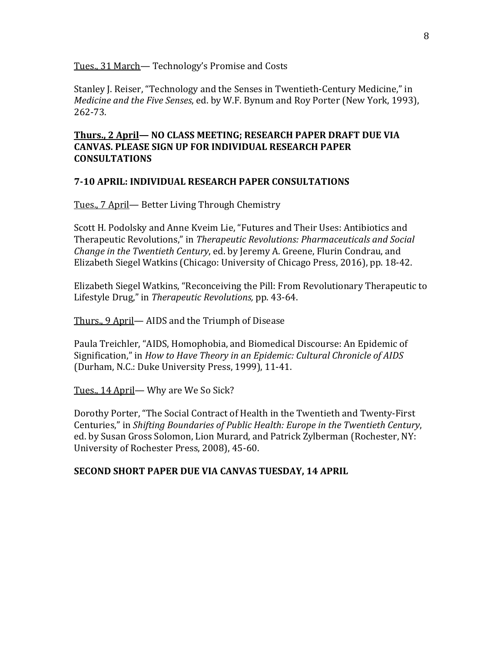Tues., 31 March— Technology's Promise and Costs

Stanley J. Reiser, "Technology and the Senses in Twentieth-Century Medicine," in *Medicine and the Five Senses*, ed. by W.F. Bynum and Roy Porter (New York, 1993), 262-73.

# **Thurs., 2 April— NO CLASS MEETING; RESEARCH PAPER DRAFT DUE VIA CANVAS. PLEASE SIGN UP FOR INDIVIDUAL RESEARCH PAPER CONSULTATIONS**

## **7-10 APRIL: INDIVIDUAL RESEARCH PAPER CONSULTATIONS**

Tues., 7 April— Better Living Through Chemistry

Scott H. Podolsky and Anne Kveim Lie, "Futures and Their Uses: Antibiotics and Therapeutic Revolutions," in *Therapeutic Revolutions: Pharmaceuticals and Social Change in the Twentieth Century*, ed. by Jeremy A. Greene, Flurin Condrau, and Elizabeth Siegel Watkins (Chicago: University of Chicago Press, 2016), pp. 18-42.

Elizabeth Siegel Watkins, "Reconceiving the Pill: From Revolutionary Therapeutic to Lifestyle Drug," in *Therapeutic Revolutions*, pp. 43-64.

Thurs., 9 April— AIDS and the Triumph of Disease

Paula Treichler, "AIDS, Homophobia, and Biomedical Discourse: An Epidemic of Signification," in *How to Have Theory in an Epidemic: Cultural Chronicle of AIDS* (Durham, N.C.: Duke University Press, 1999), 11-41.

Tues., 14 April— Why are We So Sick?

Dorothy Porter, "The Social Contract of Health in the Twentieth and Twenty-First Centuries," in *Shifting Boundaries of Public Health: Europe in the Twentieth Century*, ed. by Susan Gross Solomon, Lion Murard, and Patrick Zylberman (Rochester, NY: University of Rochester Press, 2008), 45-60.

#### **SECOND SHORT PAPER DUE VIA CANVAS TUESDAY, 14 APRIL**